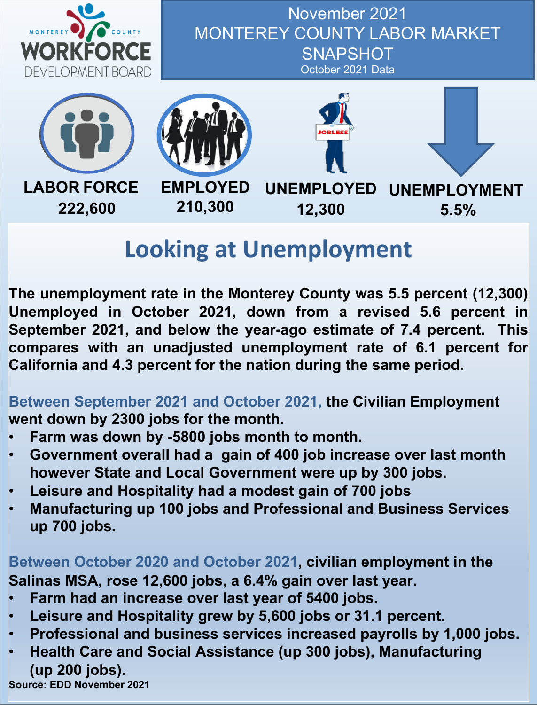

November 2021 MONTEREY COUNTY LABOR MARKET **SNAPSHOT** October 2021 Data







**12,300**



# **Looking at Unemployment**

**The unemployment rate in the Monterey County was 5.5 percent (12,300) Unemployed in October 2021, down from a revised 5.6 percent in September 2021, and below the year-ago estimate of 7.4 percent. This compares with an unadjusted unemployment rate of 6.1 percent for California and 4.3 percent for the nation during the same period.**

**Between September 2021 and October 2021, the Civilian Employment went down by 2300 jobs for the month.**

- **Farm was down by -5800 jobs month to month.**
- **Government overall had a gain of 400 job increase over last month however State and Local Government were up by 300 jobs.**
- **Leisure and Hospitality had a modest gain of 700 jobs**
- **Manufacturing up 100 jobs and Professional and Business Services up 700 jobs.**

**Between October 2020 and October 2021, civilian employment in the Salinas MSA, rose 12,600 jobs, a 6.4% gain over last year.**

- **Farm had an increase over last year of 5400 jobs.**
- **Leisure and Hospitality grew by 5,600 jobs or 31.1 percent.**
- **Professional and business services increased payrolls by 1,000 jobs.**
- **Health Care and Social Assistance (up 300 jobs), Manufacturing (up 200 jobs).**

**Source: EDD November 2021**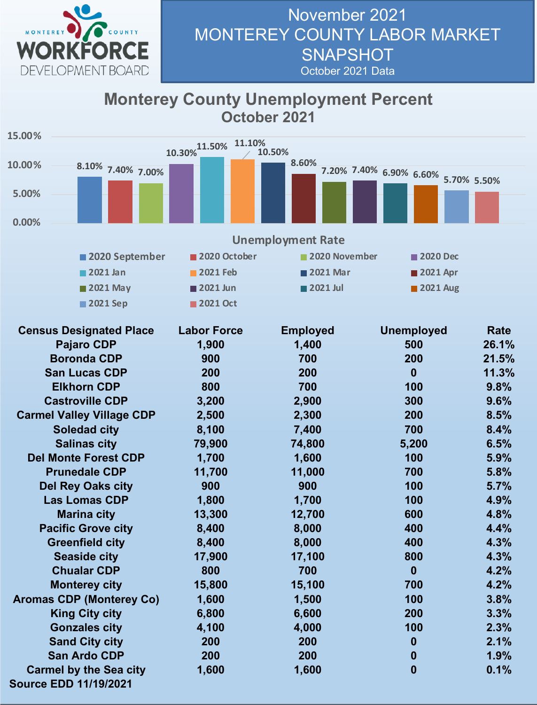

#### November 2021 MONTEREY COUNTY LABOR MARKET **SNAPSHOT** October 2021 Data

#### **Monterey County Unemployment Percent October 2021**

| 15.00%   |                                  |                                    |                          |                                     |       |
|----------|----------------------------------|------------------------------------|--------------------------|-------------------------------------|-------|
|          |                                  | $10.30\%$ <sup>11.50%</sup> 11.10% | 10.50%                   |                                     |       |
| 10.00%   | 8.10% 7.40% 7.00%                |                                    | 8.60%                    |                                     |       |
|          |                                  |                                    |                          | 7.20% 7.40% 6.90% 6.60% 5.70% 5.50% |       |
| 5.00%    |                                  |                                    |                          |                                     |       |
|          |                                  |                                    |                          |                                     |       |
| 0.00%    |                                  |                                    |                          |                                     |       |
|          |                                  |                                    | <b>Unemployment Rate</b> |                                     |       |
|          | 2020 September                   | 2020 October                       | 2020 November            | 2020 Dec                            |       |
|          | 2021 Jan                         | <b>2021 Feb</b>                    | 2021 Mar                 | 2021 Apr                            |       |
| 2021 May |                                  | 2021 Jun                           | 2021 Jul                 | 2021 Aug                            |       |
|          | 2021 Sep                         | 2021 Oct                           |                          |                                     |       |
|          |                                  |                                    |                          |                                     |       |
|          | <b>Census Designated Place</b>   | <b>Labor Force</b>                 | <b>Employed</b>          | <b>Unemployed</b>                   | Rate  |
|          | <b>Pajaro CDP</b>                | 1,900                              | 1,400                    | 500                                 | 26.1% |
|          | <b>Boronda CDP</b>               | 900                                | 700                      | 200                                 | 21.5% |
|          | <b>San Lucas CDP</b>             | 200                                | 200                      | $\bf{0}$                            | 11.3% |
|          | <b>Elkhorn CDP</b>               | 800                                | 700                      | 100                                 | 9.8%  |
|          | <b>Castroville CDP</b>           | 3,200                              | 2,900                    | 300                                 | 9.6%  |
|          | <b>Carmel Valley Village CDP</b> | 2,500                              | 2,300                    | 200                                 | 8.5%  |
|          | <b>Soledad city</b>              | 8,100                              | 7,400                    | 700                                 | 8.4%  |
|          | <b>Salinas city</b>              | 79,900                             | 74,800                   | 5,200                               | 6.5%  |
|          | <b>Del Monte Forest CDP</b>      | 1,700                              | 1,600                    | 100                                 | 5.9%  |
|          | <b>Prunedale CDP</b>             | 11,700                             | 11,000                   | 700                                 | 5.8%  |
|          | <b>Del Rey Oaks city</b>         | 900                                | 900                      | 100                                 | 5.7%  |
|          | <b>Las Lomas CDP</b>             | 1,800                              | 1,700                    | 100                                 | 4.9%  |
|          | <b>Marina city</b>               | 13,300                             | 12,700                   | 600                                 | 4.8%  |
|          | <b>Pacific Grove city</b>        | 8,400                              | 8,000                    | 400                                 | 4.4%  |
|          | <b>Greenfield city</b>           | 8,400                              | 8,000                    | 400                                 | 4.3%  |
|          | <b>Seaside city</b>              | 17,900                             | 17,100                   | 800                                 | 4.3%  |
|          | <b>Chualar CDP</b>               | 800                                | 700                      | $\bf{0}$                            | 4.2%  |
|          | <b>Monterey city</b>             | 15,800                             | 15,100                   | 700                                 | 4.2%  |
|          | <b>Aromas CDP (Monterey Co)</b>  | 1,600                              | 1,500                    | 100                                 | 3.8%  |
|          | <b>King City city</b>            | 6,800                              | 6,600                    | 200                                 | 3.3%  |
|          | <b>Gonzales city</b>             | 4,100                              | 4,000                    | 100                                 | 2.3%  |
|          | <b>Sand City city</b>            | 200                                | 200                      | $\boldsymbol{0}$                    | 2.1%  |
|          | <b>San Ardo CDP</b>              | 200                                | 200                      | $\bf{0}$                            | 1.9%  |
|          | <b>Carmel by the Sea city</b>    | 1,600                              | 1,600                    | $\bf{0}$                            | 0.1%  |
|          | <b>Source EDD 11/19/2021</b>     |                                    |                          |                                     |       |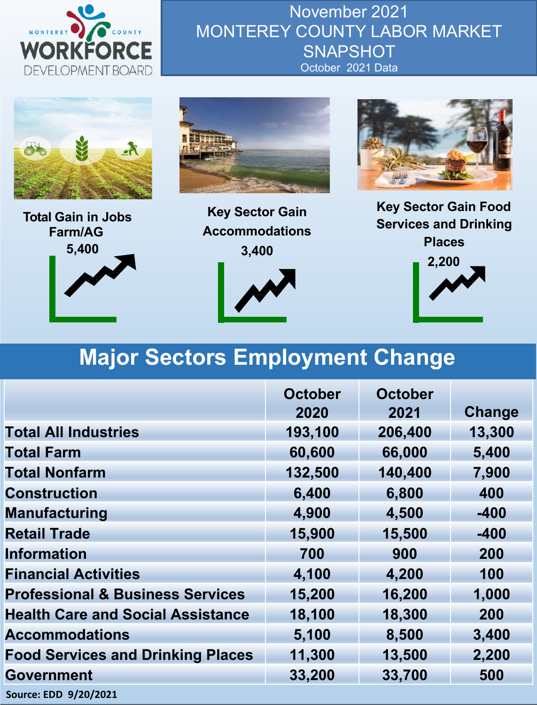

November 2021 MONTEREY COUNTY LABOR MARKET **SNAPSHOT** October 2021 Data







**Key Sector Gain Accommodations 3,400**



**Key Sector Gain Food Services and Drinking Places 2,200**

## **Major Sectors Employment Change**

|                                             | <b>October</b><br>2020 | <b>October</b><br>2021 | Change |
|---------------------------------------------|------------------------|------------------------|--------|
| <b>Total All Industries</b>                 | 193,100                | 206,400                | 13,300 |
| <b>Total Farm</b>                           | 60,600                 | 66,000                 | 5,400  |
| <b>Total Nonfarm</b>                        | 132,500                | 140,400                | 7,900  |
| <b>Construction</b>                         | 6,400                  | 6,800                  | 400    |
| <b>Manufacturing</b>                        | 4,900                  | 4,500                  | $-400$ |
| <b>Retail Trade</b>                         | 15,900                 | 15,500                 | $-400$ |
| <b>Information</b>                          | 700                    | 900                    | 200    |
| <b>Financial Activities</b>                 | 4,100                  | 4,200                  | 100    |
| <b>Professional &amp; Business Services</b> | 15,200                 | 16,200                 | 1,000  |
| <b>Health Care and Social Assistance</b>    | 18,100                 | 18,300                 | 200    |
| <b>Accommodations</b>                       | 5,100                  | 8,500                  | 3,400  |
| <b>Food Services and Drinking Places</b>    | 11,300                 | 13,500                 | 2,200  |
| <b>Government</b>                           | 33,200                 | 33,700                 | 500    |
| Source: EDD 9/20/2021                       |                        |                        |        |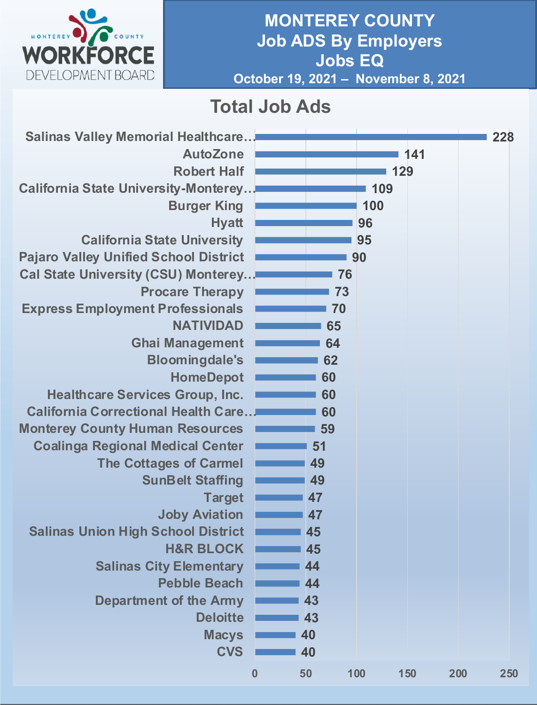

#### **MONTEREY COUNTY Job ADS By Employers Jobs EQ October 19, 2021 – November 8, 2021**

## **Total Job Ads**

| <b>Salinas Valley Memorial Healthcare</b>    |          |    |     |     |     | 228 |
|----------------------------------------------|----------|----|-----|-----|-----|-----|
| <b>AutoZone</b>                              |          |    |     | 141 |     |     |
| <b>Robert Half</b>                           |          |    |     | 129 |     |     |
| <b>California State University-Monterey</b>  |          |    | 109 |     |     |     |
| <b>Burger King</b>                           |          |    | 100 |     |     |     |
| <b>Hyatt</b>                                 |          |    | 96  |     |     |     |
| <b>California State University</b>           |          |    | 95  |     |     |     |
| <b>Pajaro Valley Unified School District</b> |          |    | 90  |     |     |     |
| <b>Cal State University (CSU) Monterey</b>   |          | 76 |     |     |     |     |
| <b>Procare Therapy</b>                       |          | 73 |     |     |     |     |
| <b>Express Employment Professionals</b>      |          | 70 |     |     |     |     |
| <b>NATIVIDAD</b>                             |          | 65 |     |     |     |     |
| <b>Ghai Management</b>                       |          | 64 |     |     |     |     |
| <b>Bloomingdale's</b>                        |          | 62 |     |     |     |     |
| <b>HomeDepot</b>                             |          | 60 |     |     |     |     |
| <b>Healthcare Services Group, Inc.</b>       |          | 60 |     |     |     |     |
| <b>California Correctional Health Care</b>   |          | 60 |     |     |     |     |
| <b>Monterey County Human Resources</b>       |          | 59 |     |     |     |     |
| <b>Coalinga Regional Medical Center</b>      |          | 51 |     |     |     |     |
| <b>The Cottages of Carmel</b>                |          | 49 |     |     |     |     |
| <b>SunBelt Staffing</b>                      |          | 49 |     |     |     |     |
| <b>Target</b>                                |          | 47 |     |     |     |     |
| <b>Joby Aviation</b>                         |          | 47 |     |     |     |     |
| <b>Salinas Union High School District</b>    |          | 45 |     |     |     |     |
| <b>H&amp;R BLOCK</b>                         |          | 45 |     |     |     |     |
| <b>Salinas City Elementary</b>               |          | 44 |     |     |     |     |
| <b>Pebble Beach</b>                          |          | 44 |     |     |     |     |
| <b>Department of the Army</b>                |          | 43 |     |     |     |     |
| <b>Deloitte</b>                              |          | 43 |     |     |     |     |
| <b>Macys</b>                                 |          | 40 |     |     |     |     |
| <b>CVS</b>                                   |          | 40 |     |     |     |     |
|                                              | $\bf{0}$ | 50 | 100 | 150 | 200 | 250 |
|                                              |          |    |     |     |     |     |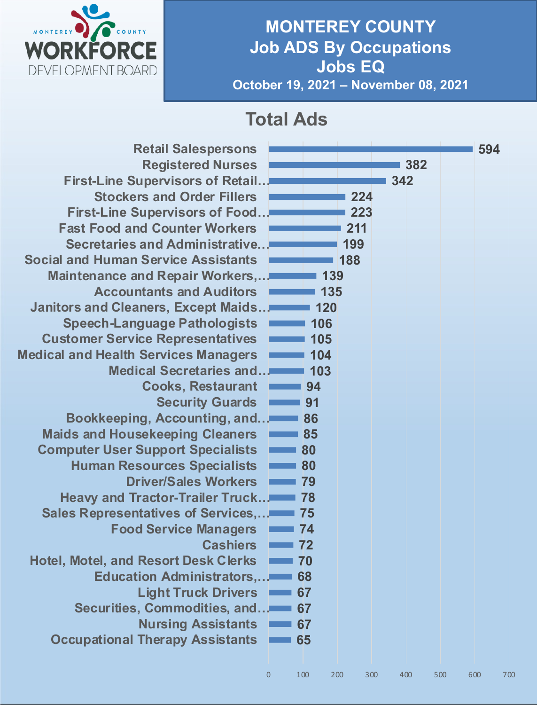

#### **MONTEREY COUNTY Job ADS By Occupations Jobs EQ October 19, 2021 – November 08, 2021**

## **Total Ads**

| <b>Retail Salespersons</b><br><b>Registered Nurses</b><br><b>First-Line Supervisors of Retail.</b><br><b>Stockers and Order Fillers</b><br><b>First-Line Supervisors of Food</b><br><b>Fast Food and Counter Workers</b><br>Secretaries and Administrative<br><b>Social and Human Service Assistants</b><br><b>Maintenance and Repair Workers,</b><br><b>Accountants and Auditors</b><br>Janitors and Cleaners, Except Maids<br><b>Speech-Language Pathologists</b><br><b>Customer Service Representatives</b><br><b>Medical and Health Services Managers</b><br><b>Medical Secretaries and</b><br><b>Cooks, Restaurant</b><br><b>Security Guards</b><br><b>Bookkeeping, Accounting, and</b><br><b>Maids and Housekeeping Cleaners</b><br><b>Computer User Support Specialists</b><br><b>Human Resources Specialists</b><br><b>Driver/Sales Workers</b><br><b>Heavy and Tractor-Trailer Truck</b><br>Sales Representatives of Services,<br><b>Food Service Managers</b><br><b>Cashiers</b><br><b>Hotel, Motel, and Resort Desk Clerks</b><br><b>Education Administrators,</b><br><b>Light Truck Drivers</b><br>Securities, Commodities, and<br><b>Nursing Assistants</b> |                     | 139<br>135<br>120<br>106<br>105<br>104<br>103<br>94<br>91<br>86<br>85<br>80<br>80<br>79<br>78<br>75<br>74<br>72<br>70<br>68<br>67<br>67<br>67 | 224<br>223<br>211<br>199<br>188 |     | 382<br>342 |     | 594 |     |
|--------------------------------------------------------------------------------------------------------------------------------------------------------------------------------------------------------------------------------------------------------------------------------------------------------------------------------------------------------------------------------------------------------------------------------------------------------------------------------------------------------------------------------------------------------------------------------------------------------------------------------------------------------------------------------------------------------------------------------------------------------------------------------------------------------------------------------------------------------------------------------------------------------------------------------------------------------------------------------------------------------------------------------------------------------------------------------------------------------------------------------------------------------------------------|---------------------|-----------------------------------------------------------------------------------------------------------------------------------------------|---------------------------------|-----|------------|-----|-----|-----|
| <b>Occupational Therapy Assistants</b>                                                                                                                                                                                                                                                                                                                                                                                                                                                                                                                                                                                                                                                                                                                                                                                                                                                                                                                                                                                                                                                                                                                                   |                     | 65                                                                                                                                            |                                 |     |            |     |     |     |
|                                                                                                                                                                                                                                                                                                                                                                                                                                                                                                                                                                                                                                                                                                                                                                                                                                                                                                                                                                                                                                                                                                                                                                          | $\mathsf{O}\xspace$ | 100                                                                                                                                           | 200                             | 300 | 400        | 500 | 600 | 700 |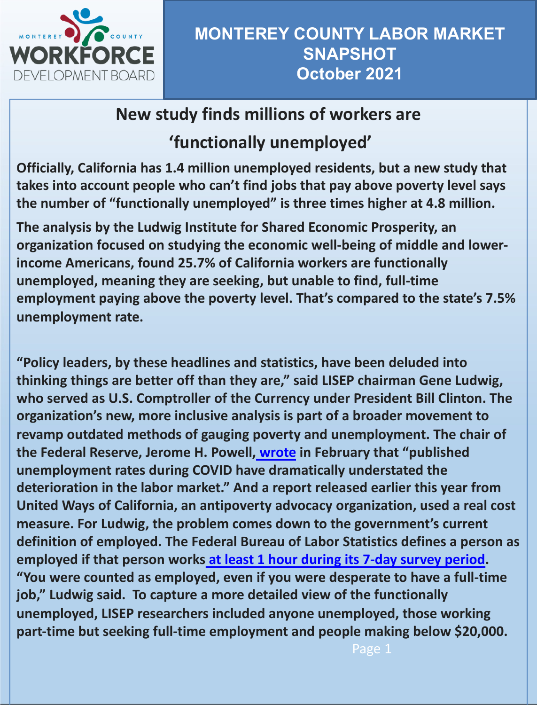

#### **MONTEREY COUNTY LABOR MARKET SNAPSHOT October 2021**

### **New study finds millions of workers are**

## **'functionally unemployed'**

**Officially, California has 1.4 million unemployed residents, but a new study that takes into account people who can't find jobs that pay above poverty level says the number of "functionally unemployed" is three times higher at 4.8 million.**

**The analysis by the Ludwig Institute for Shared Economic Prosperity, an organization focused on studying the economic well-being of middle and lowerincome Americans, found 25.7% of California workers are functionally unemployed, meaning they are seeking, but unable to find, full-time employment paying above the poverty level. That's compared to the state's 7.5% unemployment rate.**

**"Policy leaders, by these headlines and statistics, have been deluded into thinking things are better off than they are," said LISEP chairman Gene Ludwig, who served as U.S. Comptroller of the Currency under President Bill Clinton. The organization's new, more inclusive ana[lysis is](https://www.federalreserve.gov/newsevents/speech/powell20210210a.htm) part of a broader movement to revamp outdated methods of gauging poverty and unemployment. The chair of the Federal Reserve, Jerome H. Powell, wrote in February that "published unemployment rates during COVID have dramatically understated the deterioration in the labor market." And a report released earlier this year from United Ways of California, an antipoverty advocacy organization, used a real cost measure. For Ludwig, the prob[lem comes down to the government's current](https://www.bls.gov/cps/definitions.htm) definition of employed. The Federal Bureau of Labor Statistics defines a person as employed if that person works at least 1 hour during its 7-day survey period. "You were counted as employed, even if you were desperate to have a full-time job," Ludwig said. To capture a more detailed view of the functionally unemployed, LISEP researchers included anyone unemployed, those working part-time but seeking full-time employment and people making below \$20,000.**

Page 1